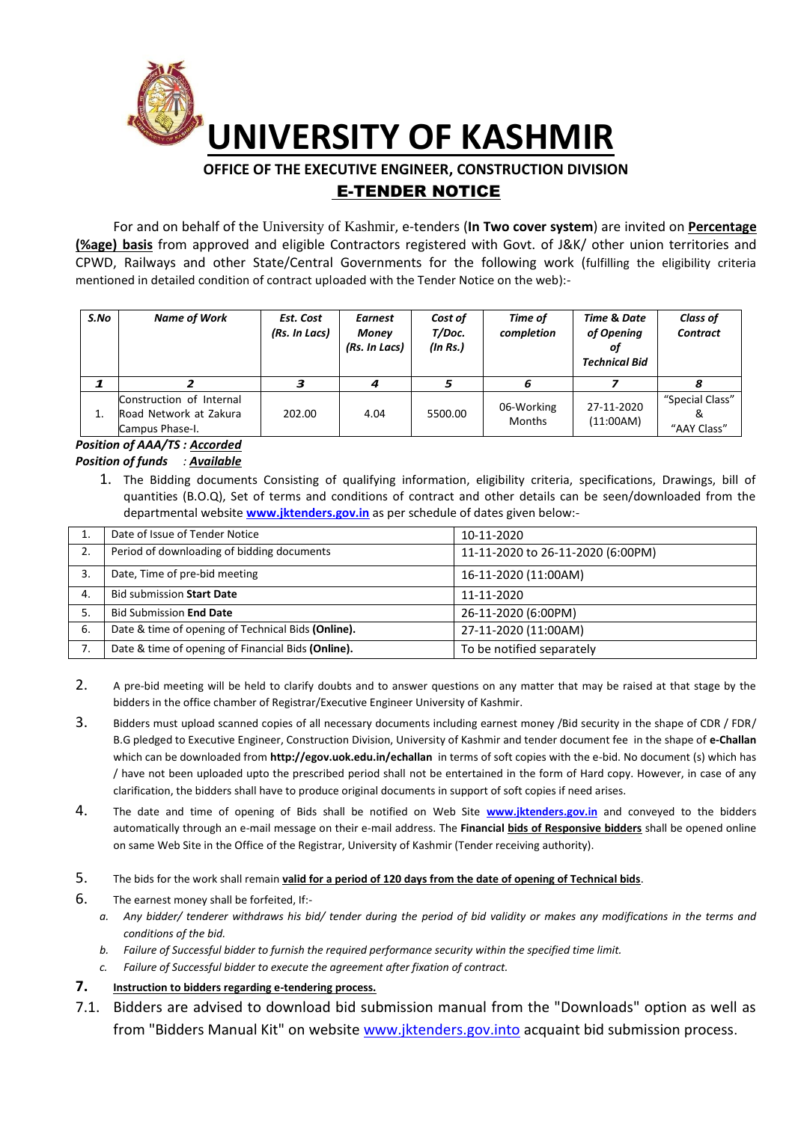

# **OFFICE OF THE EXECUTIVE ENGINEER, CONSTRUCTION DIVISION**  E-TENDER NOTICE

For and on behalf of the University of Kashmir, e-tenders (**In Two cover system**) are invited on **Percentage (%age) basis** from approved and eligible Contractors registered with Govt. of J&K/ other union territories and CPWD, Railways and other State/Central Governments for the following work (fulfilling the eligibility criteria mentioned in detailed condition of contract uploaded with the Tender Notice on the web):-

| S.No | <b>Name of Work</b>                                                   | Est. Cost<br>(Rs. In Lacs) | <b>Earnest</b><br><b>Money</b><br>(Rs. In Lacs) | Cost of<br>T/Doc.<br>(In Rs.) | Time of<br>completion       | Time & Date<br>of Opening<br>01<br><b>Technical Bid</b> | <b>Class of</b><br><b>Contract</b> |
|------|-----------------------------------------------------------------------|----------------------------|-------------------------------------------------|-------------------------------|-----------------------------|---------------------------------------------------------|------------------------------------|
|      |                                                                       |                            |                                                 |                               | 6                           |                                                         |                                    |
| 1.   | Construction of Internal<br>Road Network at Zakura<br>Campus Phase-I. | 202.00                     | 4.04                                            | 5500.00                       | 06-Working<br><b>Months</b> | 27-11-2020<br>(11:00AM)                                 | "Special Class"<br>"AAY Class"     |

## *Position of AAA/TS : Accorded Position of funds : Available*

1. The Bidding documents Consisting of qualifying information, eligibility criteria, specifications, Drawings, bill of quantities (B.O.Q), Set of terms and conditions of contract and other details can be seen/downloaded from the departmental website **[www.jktenders.gov.in](http://www.pmgsytendersjk.gov.in/)** as per schedule of dates given below:-

|    | Date of Issue of Tender Notice                     | 10-11-2020                        |
|----|----------------------------------------------------|-----------------------------------|
| 2. | Period of downloading of bidding documents         | 11-11-2020 to 26-11-2020 (6:00PM) |
| 3. | Date, Time of pre-bid meeting                      | 16-11-2020 (11:00AM)              |
| 4. | <b>Bid submission Start Date</b>                   | 11-11-2020                        |
| 5. | <b>Bid Submission End Date</b>                     | 26-11-2020 (6:00PM)               |
| 6. | Date & time of opening of Technical Bids (Online). | 27-11-2020 (11:00AM)              |
| 7. | Date & time of opening of Financial Bids (Online). | To be notified separately         |

- 2. A pre-bid meeting will be held to clarify doubts and to answer questions on any matter that may be raised at that stage by the bidders in the office chamber of Registrar/Executive Engineer University of Kashmir.
- 3. Bidders must upload scanned copies of all necessary documents including earnest money /Bid security in the shape of CDR / FDR/ B.G pledged to Executive Engineer, Construction Division, University of Kashmir and tender document fee in the shape of **e-Challan** which can be downloaded from **<http://egov.uok.edu.in/echallan>** in terms of soft copies with the e-bid. No document (s) which has / have not been uploaded upto the prescribed period shall not be entertained in the form of Hard copy. However, in case of any clarification, the bidders shall have to produce original documents in support of soft copies if need arises.
- 4. The date and time of opening of Bids shall be notified on Web Site **[www.jktenders.gov.in](http://www.pmgsytendersjk.gov.in/)** and conveyed to the bidders automatically through an e-mail message on their e-mail address. The **Financial bids of Responsive bidders** shall be opened online on same Web Site in the Office of the Registrar, University of Kashmir (Tender receiving authority).
- 5. The bids for the work shall remain **valid for a period of 120 days from the date of opening of Technical bids**.
- 6. The earnest money shall be forfeited, If:
	- *a. Any bidder/ tenderer withdraws his bid/ tender during the period of bid validity or makes any modifications in the terms and conditions of the bid.*
	- *b. Failure of Successful bidder to furnish the required performance security within the specified time limit.*
	- *c. Failure of Successful bidder to execute the agreement after fixation of contract.*
- **7. Instruction to bidders regarding e-tendering process.**
- 7.1. Bidders are advised to download bid submission manual from the "Downloads" option as well as from "Bidders Manual Kit" on website [www.jktenders.gov.into](http://www.pmgsytendersjk.gov.into/) acquaint bid submission process.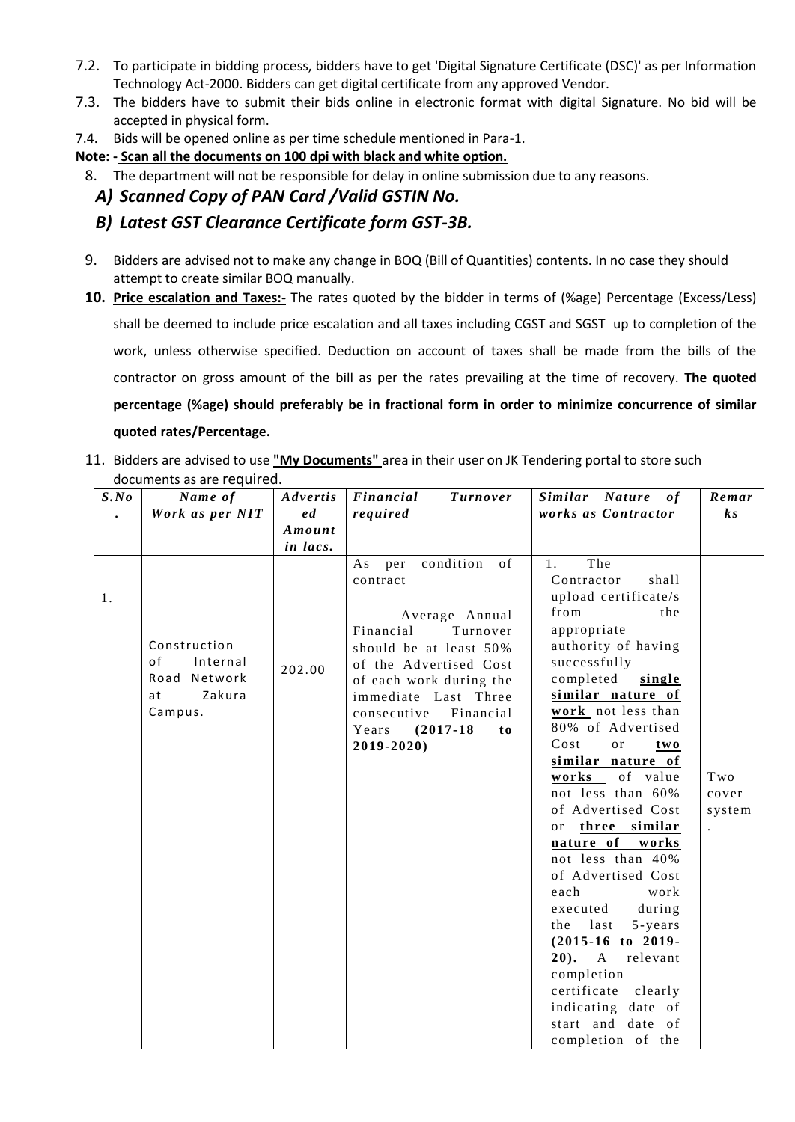- 7.2. To participate in bidding process, bidders have to get 'Digital Signature Certificate (DSC)' as per Information Technology Act-2000. Bidders can get digital certificate from any approved Vendor.
- 7.3. The bidders have to submit their bids online in electronic format with digital Signature. No bid will be accepted in physical form.
- 7.4. Bids will be opened online as per time schedule mentioned in Para-1.

**Note: - Scan all the documents on 100 dpi with black and white option.** 

- 8. The department will not be responsible for delay in online submission due to any reasons.
	- *A) Scanned Copy of PAN Card /Valid GSTIN No.*
	- *B) Latest GST Clearance Certificate form GST-3B.*
- 9. Bidders are advised not to make any change in BOQ (Bill of Quantities) contents. In no case they should attempt to create similar BOQ manually.
- **10. Price escalation and Taxes:-** The rates quoted by the bidder in terms of (%age) Percentage (Excess/Less) shall be deemed to include price escalation and all taxes including CGST and SGST up to completion of the work, unless otherwise specified. Deduction on account of taxes shall be made from the bills of the contractor on gross amount of the bill as per the rates prevailing at the time of recovery. **The quoted percentage (%age) should preferably be in fractional form in order to minimize concurrence of similar quoted rates/Percentage.**
- 11. Bidders are advised to use **"My Documents"** area in their user on JK Tendering portal to store such documents as are required.

| S.No | Name of                                                                   | Advertis | Financial<br><i>Turnover</i>                                                                                                                                                                                                                                    | Similar Nature of                                                                                                                                                                                                                                                                                                                                                                                                                                                                                                                                                                                                                  | Remar                                          |
|------|---------------------------------------------------------------------------|----------|-----------------------------------------------------------------------------------------------------------------------------------------------------------------------------------------------------------------------------------------------------------------|------------------------------------------------------------------------------------------------------------------------------------------------------------------------------------------------------------------------------------------------------------------------------------------------------------------------------------------------------------------------------------------------------------------------------------------------------------------------------------------------------------------------------------------------------------------------------------------------------------------------------------|------------------------------------------------|
|      | Work as per NIT                                                           | e d      | required                                                                                                                                                                                                                                                        | works as Contractor                                                                                                                                                                                                                                                                                                                                                                                                                                                                                                                                                                                                                | $\boldsymbol{k}$ s                             |
|      |                                                                           | Amount   |                                                                                                                                                                                                                                                                 |                                                                                                                                                                                                                                                                                                                                                                                                                                                                                                                                                                                                                                    |                                                |
|      |                                                                           | in lacs. |                                                                                                                                                                                                                                                                 |                                                                                                                                                                                                                                                                                                                                                                                                                                                                                                                                                                                                                                    |                                                |
| 1.   | Construction<br>of<br>Internal<br>Road Network<br>at<br>Zakura<br>Campus. | 202.00   | condition of<br>As<br>per<br>contract<br>Average Annual<br>Financial<br>Turnover<br>should be at least 50%<br>of the Advertised Cost<br>of each work during the<br>immediate Last Three<br>Financial<br>consecutive<br>$(2017-18)$<br>Years<br>to<br>2019-2020) | The<br>1.<br>Contractor<br>shall<br>upload certificate/s<br>from<br>the<br>appropriate<br>authority of having<br>successfully<br>completed<br>single<br>similar nature of<br>work not less than<br>80% of Advertised<br>Cost<br>or<br>two<br>similar nature of<br>works of value<br>not less than 60%<br>of Advertised Cost<br>three similar<br>or<br>nature of works<br>not less than 40%<br>of Advertised Cost<br>each<br>work<br>during<br>executed<br>last<br>5-years<br>the<br>$(2015-16$ to 2019-<br>20). A relevant<br>completion<br>certificate<br>clearly<br>indicating date of<br>start and date of<br>completion of the | Two<br>cover<br>system<br>$\ddot{\phantom{a}}$ |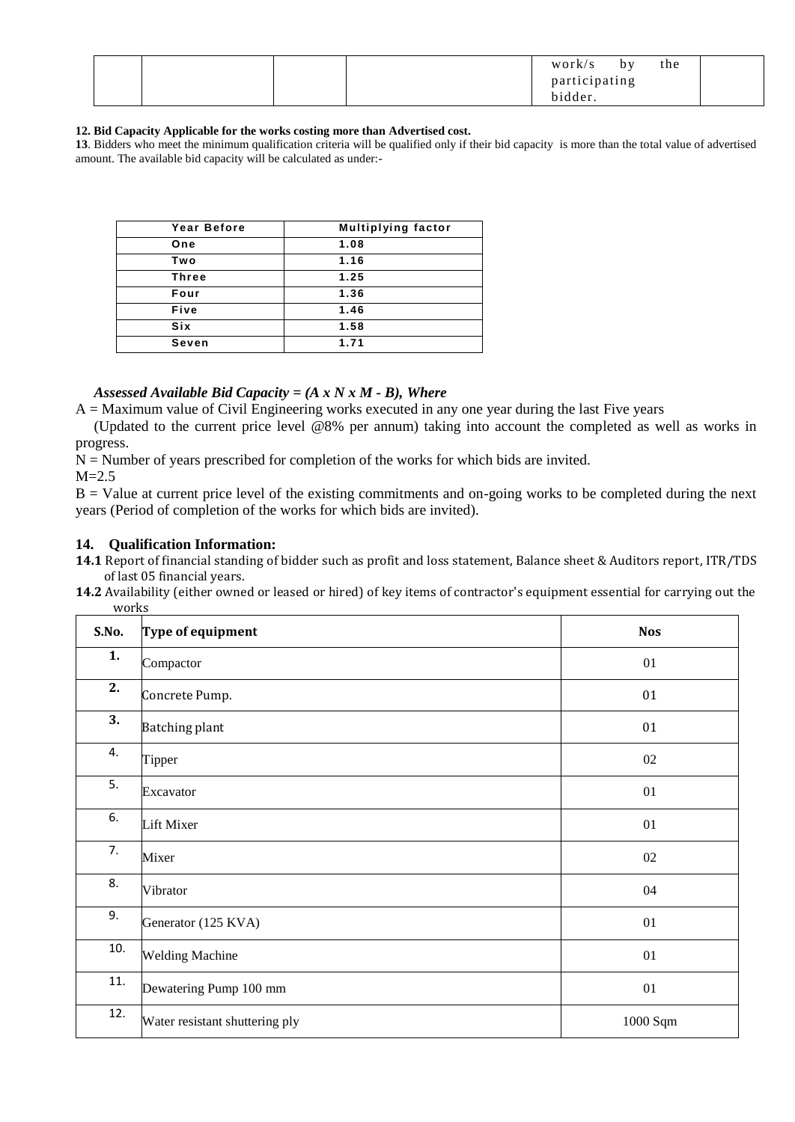|  |  | work/s        | by | the |  |
|--|--|---------------|----|-----|--|
|  |  | participating |    |     |  |
|  |  | bidder.       |    |     |  |

#### **12. Bid Capacity Applicable for the works costing more than Advertised cost.**

**13**. Bidders who meet the minimum qualification criteria will be qualified only if their bid capacity is more than the total value of advertised amount. The available bid capacity will be calculated as under:-

| <b>Year Before</b> | <b>Multiplying factor</b> |
|--------------------|---------------------------|
| One                | 1.08                      |
| Two                | 1.16                      |
| <b>Three</b>       | 1.25                      |
| Four               | 1.36                      |
| Five               | 1.46                      |
| <b>Six</b>         | 1.58                      |
| Seven              | 1.71                      |

## *Assessed Available Bid Capacity = (A x N x M - B), Where*

 $A =$ Maximum value of Civil Engineering works executed in any one year during the last Five years

 (Updated to the current price level @8% per annum) taking into account the completed as well as works in progress.

 $N =$  Number of years prescribed for completion of the works for which bids are invited.

 $M=2.5$ 

 $B =$  Value at current price level of the existing commitments and on-going works to be completed during the next years (Period of completion of the works for which bids are invited).

#### **14. Qualification Information:**

**14.1** Report of financial standing of bidder such as profit and loss statement, Balance sheet & Auditors report, ITR/TDS of last 05 financial years.

**14.2** Availability (either owned or leased or hired) of key items of contractor's equipment essential for carrying out the works

| S.No. | Type of equipment              | <b>Nos</b> |
|-------|--------------------------------|------------|
| 1.    | Compactor                      | 01         |
| 2.    | Concrete Pump.                 | 01         |
| 3.    | <b>Batching plant</b>          | 01         |
| 4.    | Tipper                         | 02         |
| 5.    | Excavator                      | 01         |
| 6.    | Lift Mixer                     | 01         |
| 7.    | Mixer                          | $02\,$     |
| 8.    | Vibrator                       | 04         |
| 9.    | Generator (125 KVA)            | 01         |
| 10.   | <b>Welding Machine</b>         | 01         |
| 11.   | Dewatering Pump 100 mm         | 01         |
| 12.   | Water resistant shuttering ply | 1000 Sqm   |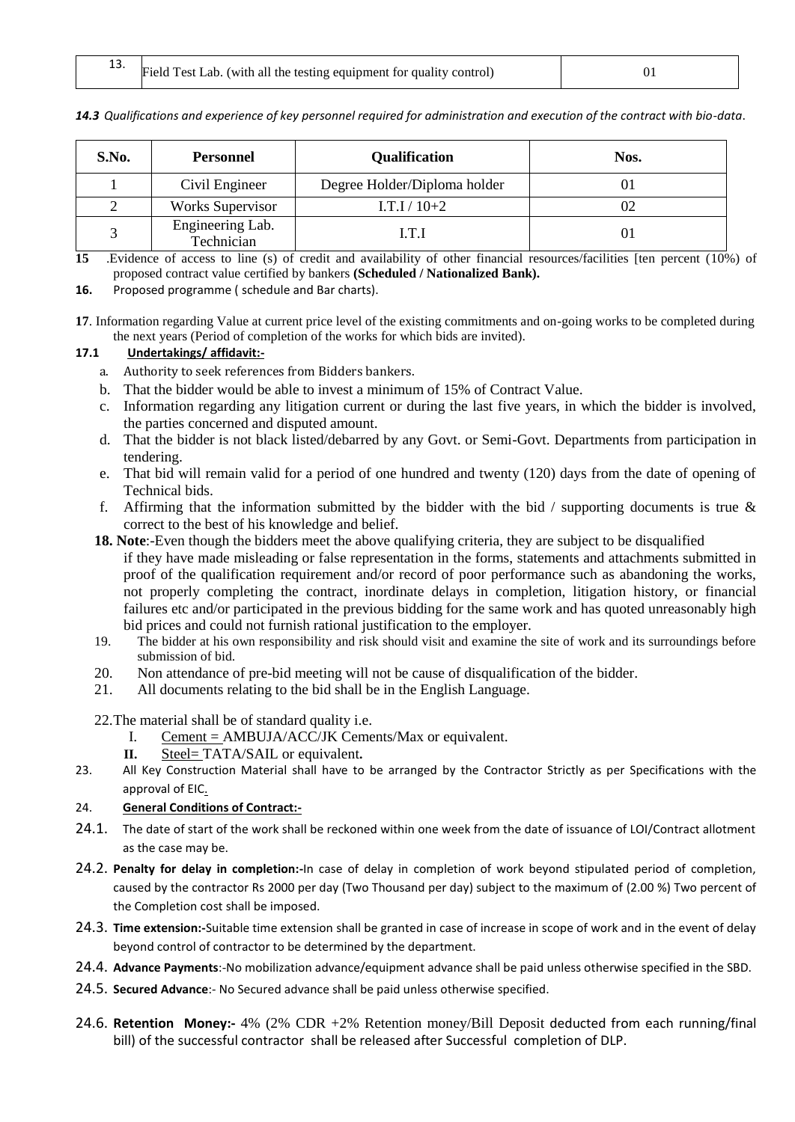13. Field Test Lab. (with all the testing equipment for quality control)  $\begin{bmatrix} 1 & 0 & 0 \end{bmatrix}$ 

| S.No. | <b>Personnel</b>               | <b>Qualification</b>         | Nos. |
|-------|--------------------------------|------------------------------|------|
|       | Civil Engineer                 | Degree Holder/Diploma holder |      |
|       | <b>Works Supervisor</b>        | $I.T.I/10+2$                 |      |
|       | Engineering Lab.<br>Technician | LT I                         |      |

*14.3 Qualifications and experience of key personnel required for administration and execution of the contract with bio-data*.

**15** .Evidence of access to line (s) of credit and availability of other financial resources/facilities [ten percent (10%) of proposed contract value certified by bankers **(Scheduled / Nationalized Bank).**

**16.** Proposed programme ( schedule and Bar charts).

**17**. Information regarding Value at current price level of the existing commitments and on-going works to be completed during the next years (Period of completion of the works for which bids are invited).

## **17.1 Undertakings/ affidavit:-**

- a. Authority to seek references from Bidders bankers.
- b. That the bidder would be able to invest a minimum of 15% of Contract Value.
- c. Information regarding any litigation current or during the last five years, in which the bidder is involved, the parties concerned and disputed amount.
- d. That the bidder is not black listed/debarred by any Govt. or Semi-Govt. Departments from participation in tendering.
- e. That bid will remain valid for a period of one hundred and twenty (120) days from the date of opening of Technical bids.
- f. Affirming that the information submitted by the bidder with the bid  $\ell$  supporting documents is true  $\&$ correct to the best of his knowledge and belief.
- **18. Note**:-Even though the bidders meet the above qualifying criteria, they are subject to be disqualified if they have made misleading or false representation in the forms, statements and attachments submitted in proof of the qualification requirement and/or record of poor performance such as abandoning the works, not properly completing the contract, inordinate delays in completion, litigation history, or financial failures etc and/or participated in the previous bidding for the same work and has quoted unreasonably high bid prices and could not furnish rational justification to the employer.
- 19. The bidder at his own responsibility and risk should visit and examine the site of work and its surroundings before submission of bid.
- 20. Non attendance of pre-bid meeting will not be cause of disqualification of the bidder.
- 21. All documents relating to the bid shall be in the English Language.

22.The material shall be of standard quality i.e.

- I. Cement = AMBUJA/ACC/JK Cements/Max or equivalent.
- **II.** Steel= TATA/SAIL or equivalent**.**
- 23. All Key Construction Material shall have to be arranged by the Contractor Strictly as per Specifications with the approval of EIC.

## 24. **General Conditions of Contract:-**

- 24.1. The date of start of the work shall be reckoned within one week from the date of issuance of LOI/Contract allotment as the case may be.
- 24.2. **Penalty for delay in completion:-**In case of delay in completion of work beyond stipulated period of completion, caused by the contractor Rs 2000 per day (Two Thousand per day) subject to the maximum of (2.00 %) Two percent of the Completion cost shall be imposed.
- 24.3. **Time extension:-**Suitable time extension shall be granted in case of increase in scope of work and in the event of delay beyond control of contractor to be determined by the department.
- 24.4. **Advance Payments**:-No mobilization advance/equipment advance shall be paid unless otherwise specified in the SBD.
- 24.5. **Secured Advance**:- No Secured advance shall be paid unless otherwise specified.
- 24.6. **Retention Money:-** 4% (2% CDR +2% Retention money/Bill Deposit deducted from each running/final bill) of the successful contractor shall be released after Successful completion of DLP.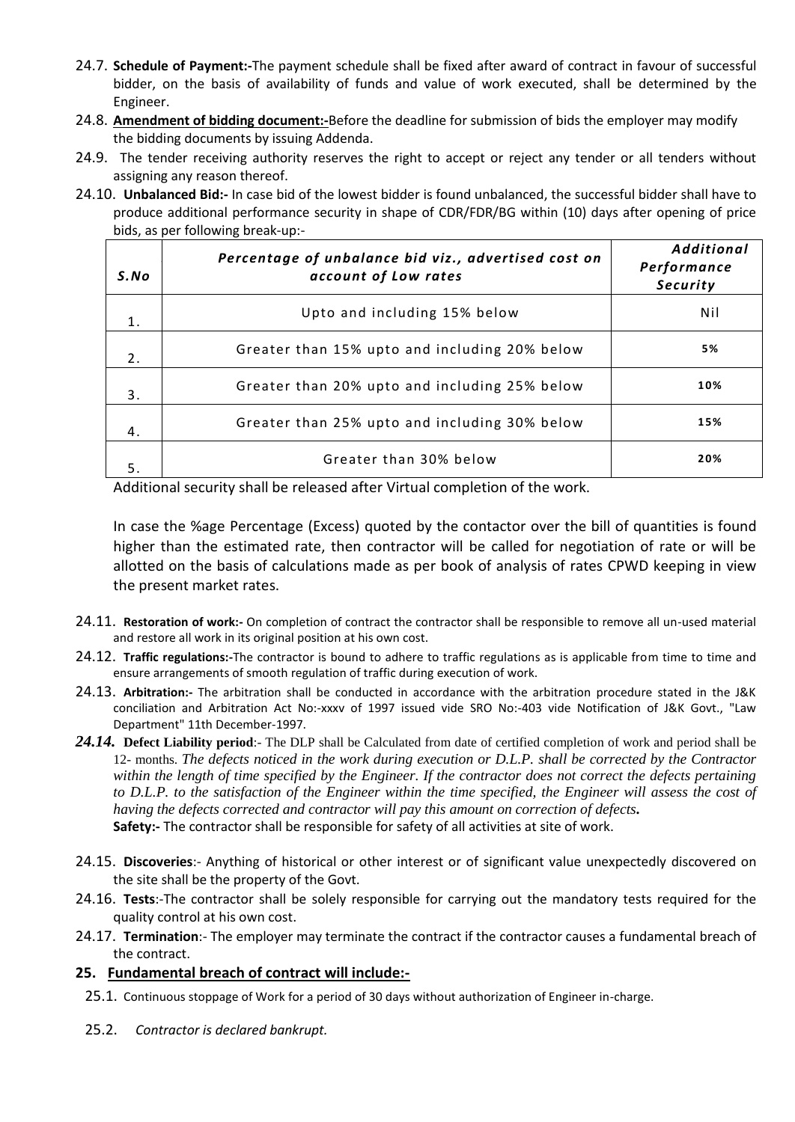- 24.7. **Schedule of Payment:-**The payment schedule shall be fixed after award of contract in favour of successful bidder, on the basis of availability of funds and value of work executed, shall be determined by the Engineer.
- 24.8. **Amendment of bidding document:-**Before the deadline for submission of bids the employer may modify the bidding documents by issuing Addenda.
- 24.9. The tender receiving authority reserves the right to accept or reject any tender or all tenders without assigning any reason thereof.
- 24.10. **Unbalanced Bid:-** In case bid of the lowest bidder is found unbalanced, the successful bidder shall have to produce additional performance security in shape of CDR/FDR/BG within (10) days after opening of price bids, as per following break-up:-

| S. No | Percentage of unbalance bid viz., advertised cost on<br>account of Low rates | <b>Additional</b><br>Performance<br>Security |
|-------|------------------------------------------------------------------------------|----------------------------------------------|
| 1.    | Upto and including 15% below                                                 | Nil                                          |
| 2.    | Greater than 15% upto and including 20% below                                | 5%                                           |
| 3.    | Greater than 20% upto and including 25% below                                | 10%                                          |
| 4.    | Greater than 25% upto and including 30% below                                | 15%                                          |
| 5.    | Greater than 30% below                                                       | 20%                                          |

Additional security shall be released after Virtual completion of the work.

In case the %age Percentage (Excess) quoted by the contactor over the bill of quantities is found higher than the estimated rate, then contractor will be called for negotiation of rate or will be allotted on the basis of calculations made as per book of analysis of rates CPWD keeping in view the present market rates.

- 24.11. **Restoration of work:-** On completion of contract the contractor shall be responsible to remove all un-used material and restore all work in its original position at his own cost.
- 24.12. **Traffic regulations:-**The contractor is bound to adhere to traffic regulations as is applicable from time to time and ensure arrangements of smooth regulation of traffic during execution of work.
- 24.13. **Arbitration:-** The arbitration shall be conducted in accordance with the arbitration procedure stated in the J&K conciliation and Arbitration Act No:-xxxv of 1997 issued vide SRO No:-403 vide Notification of J&K Govt., "Law Department" 11th December-1997.
- *24.14.* **Defect Liability period**:- The DLP shall be Calculated from date of certified completion of work and period shall be 12- months. *The defects noticed in the work during execution or D.L.P. shall be corrected by the Contractor within the length of time specified by the Engineer. If the contractor does not correct the defects pertaining to D.L.P. to the satisfaction of the Engineer within the time specified, the Engineer will assess the cost of having the defects corrected and contractor will pay this amount on correction of defects.*  **Safety:-** The contractor shall be responsible for safety of all activities at site of work.
- 24.15. **Discoveries**:- Anything of historical or other interest or of significant value unexpectedly discovered on the site shall be the property of the Govt.
- 24.16. **Tests**:-The contractor shall be solely responsible for carrying out the mandatory tests required for the quality control at his own cost.
- 24.17. **Termination**:- The employer may terminate the contract if the contractor causes a fundamental breach of the contract.

# **25. Fundamental breach of contract will include:-**

- 25.1. Continuous stoppage of Work for a period of 30 days without authorization of Engineer in-charge.
- 25.2. *Contractor is declared bankrupt.*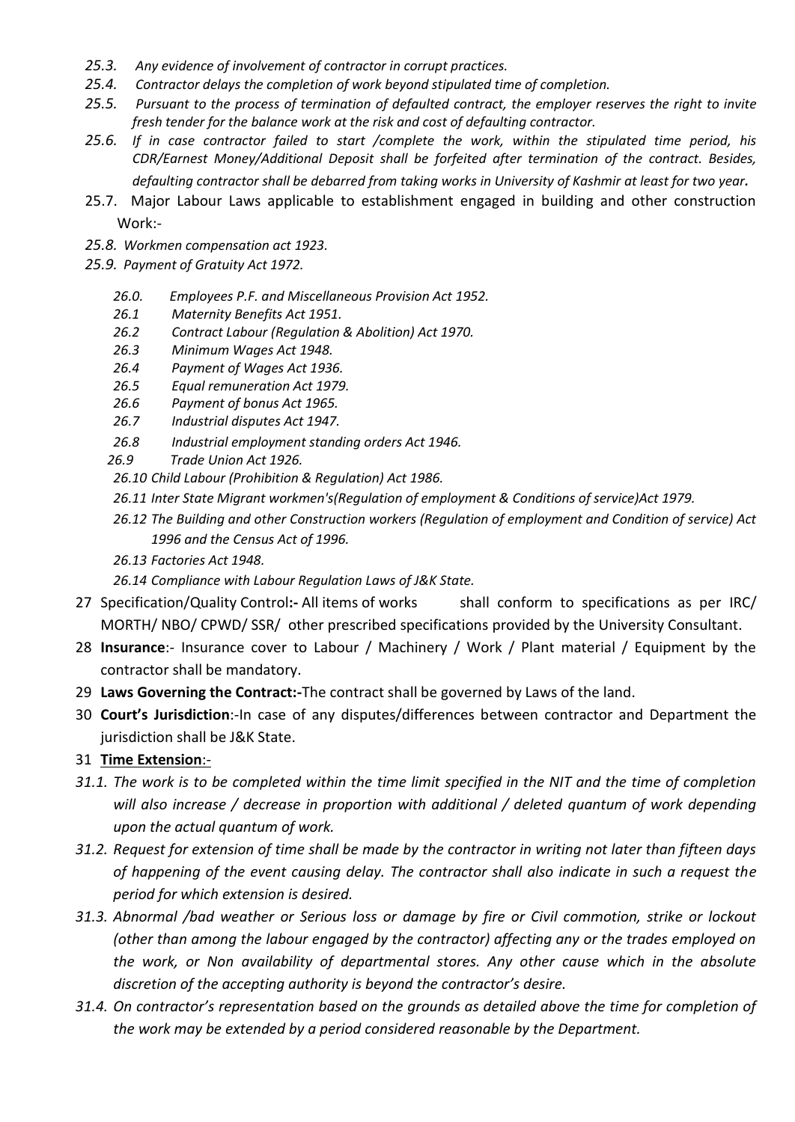- *25.3. Any evidence of involvement of contractor in corrupt practices.*
- *25.4. Contractor delays the completion of work beyond stipulated time of completion.*
- *25.5. Pursuant to the process of termination of defaulted contract, the employer reserves the right to invite fresh tender for the balance work at the risk and cost of defaulting contractor.*
- *25.6. If in case contractor failed to start /complete the work, within the stipulated time period, his CDR/Earnest Money/Additional Deposit shall be forfeited after termination of the contract. Besides, defaulting contractor shall be debarred from taking works in University of Kashmir at least for two year.*
- 25.7. Major Labour Laws applicable to establishment engaged in building and other construction Work:-
- *25.8. Workmen compensation act 1923.*
- *25.9. Payment of Gratuity Act 1972.* 
	- *26.0. Employees P.F. and Miscellaneous Provision Act 1952.*
	- *26.1 Maternity Benefits Act 1951.*
	- *26.2 Contract Labour (Regulation & Abolition) Act 1970.*
	- *26.3 Minimum Wages Act 1948.*
	- *26.4 Payment of Wages Act 1936.*
	- *26.5 Equal remuneration Act 1979.*
	- *26.6 Payment of bonus Act 1965.*
	- *26.7 Industrial disputes Act 1947.*
	- *26.8 Industrial employment standing orders Act 1946.*
	- *26.9 Trade Union Act 1926.*
	- *26.10 Child Labour (Prohibition & Regulation) Act 1986.*
	- *26.11 Inter State Migrant workmen's(Regulation of employment & Conditions of service)Act 1979.*
	- *26.12 The Building and other Construction workers (Regulation of employment and Condition of service) Act 1996 and the Census Act of 1996.*
	- *26.13 Factories Act 1948.*
	- *26.14 Compliance with Labour Regulation Laws of J&K State.*
- 27 Specification/Quality Control**:-** All items of works shall conform to specifications as per IRC/ MORTH/ NBO/ CPWD/ SSR/ other prescribed specifications provided by the University Consultant.
- 28 **Insurance**:- Insurance cover to Labour / Machinery / Work / Plant material / Equipment by the contractor shall be mandatory.
- 29 **Laws Governing the Contract:-**The contract shall be governed by Laws of the land.
- 30 **Court's Jurisdiction**:-In case of any disputes/differences between contractor and Department the jurisdiction shall be J&K State.

31 **Time Extension**:-

- *31.1. The work is to be completed within the time limit specified in the NIT and the time of completion will also increase / decrease in proportion with additional / deleted quantum of work depending upon the actual quantum of work.*
- *31.2. Request for extension of time shall be made by the contractor in writing not later than fifteen days of happening of the event causing delay. The contractor shall also indicate in such a request the period for which extension is desired.*
- *31.3. Abnormal /bad weather or Serious loss or damage by fire or Civil commotion, strike or lockout (other than among the labour engaged by the contractor) affecting any or the trades employed on the work, or Non availability of departmental stores. Any other cause which in the absolute discretion of the accepting authority is beyond the contractor's desire.*
- *31.4. On contractor's representation based on the grounds as detailed above the time for completion of the work may be extended by a period considered reasonable by the Department.*